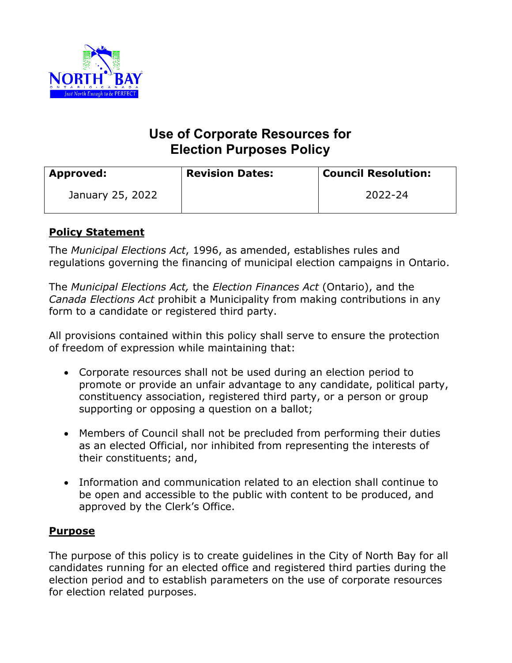

# **Use of Corporate Resources for Election Purposes Policy**

| <b>Approved:</b> | <b>Revision Dates:</b> | <b>Council Resolution:</b> |
|------------------|------------------------|----------------------------|
| January 25, 2022 |                        | 2022-24                    |

## **Policy Statement**

The *Municipal Elections Act*, 1996, as amended, establishes rules and regulations governing the financing of municipal election campaigns in Ontario.

The *Municipal Elections Act,* the *Election Finances Act* (Ontario), and the *Canada Elections Act* prohibit a Municipality from making contributions in any form to a candidate or registered third party.

All provisions contained within this policy shall serve to ensure the protection of freedom of expression while maintaining that:

- Corporate resources shall not be used during an election period to promote or provide an unfair advantage to any candidate, political party, constituency association, registered third party, or a person or group supporting or opposing a question on a ballot;
- Members of Council shall not be precluded from performing their duties as an elected Official, nor inhibited from representing the interests of their constituents; and,
- Information and communication related to an election shall continue to be open and accessible to the public with content to be produced, and approved by the Clerk's Office.

#### **Purpose**

The purpose of this policy is to create guidelines in the City of North Bay for all candidates running for an elected office and registered third parties during the election period and to establish parameters on the use of corporate resources for election related purposes.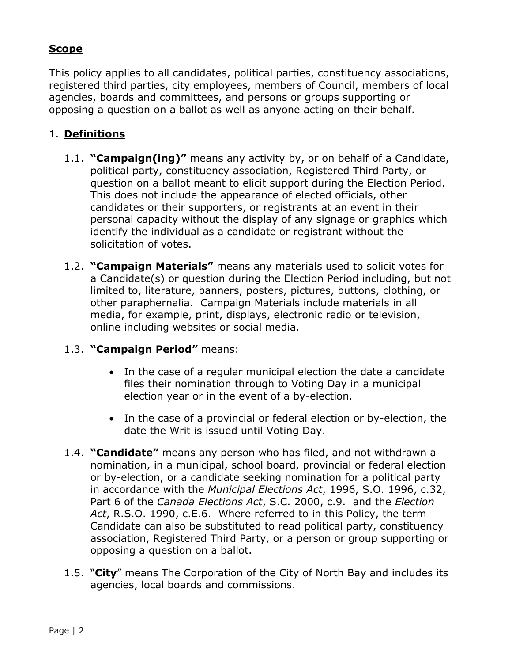#### **Scope**

This policy applies to all candidates, political parties, constituency associations, registered third parties, city employees, members of Council, members of local agencies, boards and committees, and persons or groups supporting or opposing a question on a ballot as well as anyone acting on their behalf.

#### 1. **Definitions**

- 1.1. **"Campaign(ing)"** means any activity by, or on behalf of a Candidate, political party, constituency association, Registered Third Party, or question on a ballot meant to elicit support during the Election Period. This does not include the appearance of elected officials, other candidates or their supporters, or registrants at an event in their personal capacity without the display of any signage or graphics which identify the individual as a candidate or registrant without the solicitation of votes.
- 1.2. **"Campaign Materials"** means any materials used to solicit votes for a Candidate(s) or question during the Election Period including, but not limited to, literature, banners, posters, pictures, buttons, clothing, or other paraphernalia. Campaign Materials include materials in all media, for example, print, displays, electronic radio or television, online including websites or social media.

## 1.3. **"Campaign Period"** means:

- In the case of a regular municipal election the date a candidate files their nomination through to Voting Day in a municipal election year or in the event of a by-election.
- In the case of a provincial or federal election or by-election, the date the Writ is issued until Voting Day.
- 1.4. **"Candidate"** means any person who has filed, and not withdrawn a nomination, in a municipal, school board, provincial or federal election or by-election, or a candidate seeking nomination for a political party in accordance with the *Municipal Elections Act*, 1996, S.O. 1996, c.32, Part 6 of the *Canada Elections Act*, S.C. 2000, c.9. and the *Election Act*, R.S.O. 1990, c.E.6. Where referred to in this Policy, the term Candidate can also be substituted to read political party, constituency association, Registered Third Party, or a person or group supporting or opposing a question on a ballot.
- 1.5. "**City**" means The Corporation of the City of North Bay and includes its agencies, local boards and commissions.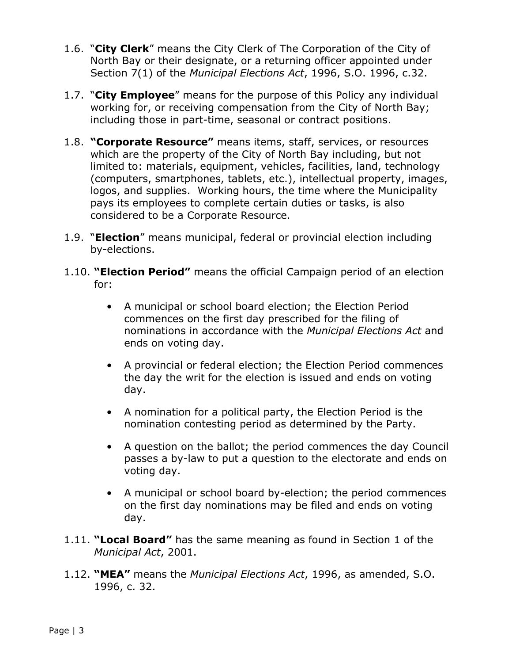- 1.6. "**City Clerk**" means the City Clerk of The Corporation of the City of North Bay or their designate, or a returning officer appointed under Section 7(1) of the *Municipal Elections Act*, 1996, S.O. 1996, c.32.
- 1.7. "**City Employee**" means for the purpose of this Policy any individual working for, or receiving compensation from the City of North Bay; including those in part-time, seasonal or contract positions.
- 1.8. **"Corporate Resource"** means items, staff, services, or resources which are the property of the City of North Bay including, but not limited to: materials, equipment, vehicles, facilities, land, technology (computers, smartphones, tablets, etc.), intellectual property, images, logos, and supplies. Working hours, the time where the Municipality pays its employees to complete certain duties or tasks, is also considered to be a Corporate Resource.
- 1.9. "**Election**" means municipal, federal or provincial election including by-elections.
- 1.10. **"Election Period"** means the official Campaign period of an election for:
	- A municipal or school board election; the Election Period commences on the first day prescribed for the filing of nominations in accordance with the *Municipal Elections Act* and ends on voting day.
	- A provincial or federal election; the Election Period commences the day the writ for the election is issued and ends on voting day.
	- A nomination for a political party, the Election Period is the nomination contesting period as determined by the Party.
	- A question on the ballot; the period commences the day Council passes a by-law to put a question to the electorate and ends on voting day.
	- A municipal or school board by-election; the period commences on the first day nominations may be filed and ends on voting day.
- 1.11. **"Local Board"** has the same meaning as found in Section 1 of the *Municipal Act*, 2001.
- 1.12. **"MEA"** means the *Municipal Elections Act*, 1996, as amended, S.O. 1996, c. 32.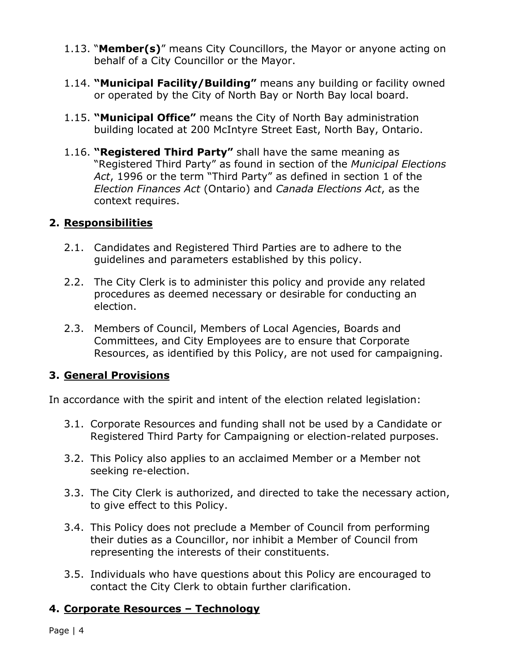- 1.13. "**Member(s)**" means City Councillors, the Mayor or anyone acting on behalf of a City Councillor or the Mayor.
- 1.14. **"Municipal Facility/Building"** means any building or facility owned or operated by the City of North Bay or North Bay local board.
- 1.15. **"Municipal Office"** means the City of North Bay administration building located at 200 McIntyre Street East, North Bay, Ontario.
- 1.16. **"Registered Third Party"** shall have the same meaning as "Registered Third Party" as found in section of the *Municipal Elections Act*, 1996 or the term "Third Party" as defined in section 1 of the *Election Finances Act* (Ontario) and *Canada Elections Act*, as the context requires.

## **2. Responsibilities**

- 2.1. Candidates and Registered Third Parties are to adhere to the guidelines and parameters established by this policy.
- 2.2. The City Clerk is to administer this policy and provide any related procedures as deemed necessary or desirable for conducting an election.
- 2.3. Members of Council, Members of Local Agencies, Boards and Committees, and City Employees are to ensure that Corporate Resources, as identified by this Policy, are not used for campaigning.

## **3. General Provisions**

In accordance with the spirit and intent of the election related legislation:

- 3.1. Corporate Resources and funding shall not be used by a Candidate or Registered Third Party for Campaigning or election-related purposes.
- 3.2. This Policy also applies to an acclaimed Member or a Member not seeking re-election.
- 3.3. The City Clerk is authorized, and directed to take the necessary action, to give effect to this Policy.
- 3.4. This Policy does not preclude a Member of Council from performing their duties as a Councillor, nor inhibit a Member of Council from representing the interests of their constituents.
- 3.5. Individuals who have questions about this Policy are encouraged to contact the City Clerk to obtain further clarification.

#### **4. Corporate Resources – Technology**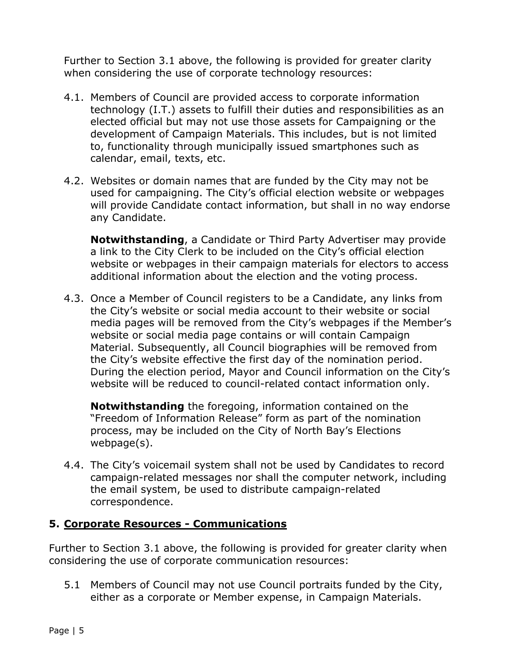Further to Section 3.1 above, the following is provided for greater clarity when considering the use of corporate technology resources:

- 4.1. Members of Council are provided access to corporate information technology (I.T.) assets to fulfill their duties and responsibilities as an elected official but may not use those assets for Campaigning or the development of Campaign Materials. This includes, but is not limited to, functionality through municipally issued smartphones such as calendar, email, texts, etc.
- 4.2. Websites or domain names that are funded by the City may not be used for campaigning. The City's official election website or webpages will provide Candidate contact information, but shall in no way endorse any Candidate.

 **Notwithstanding**, a Candidate or Third Party Advertiser may provide a link to the City Clerk to be included on the City's official election website or webpages in their campaign materials for electors to access additional information about the election and the voting process.

4.3. Once a Member of Council registers to be a Candidate, any links from the City's website or social media account to their website or social media pages will be removed from the City's webpages if the Member's website or social media page contains or will contain Campaign Material. Subsequently, all Council biographies will be removed from the City's website effective the first day of the nomination period. During the election period, Mayor and Council information on the City's website will be reduced to council-related contact information only.

 **Notwithstanding** the foregoing, information contained on the "Freedom of Information Release" form as part of the nomination process, may be included on the City of North Bay's Elections webpage(s).

4.4. The City's voicemail system shall not be used by Candidates to record campaign-related messages nor shall the computer network, including the email system, be used to distribute campaign-related correspondence.

## **5. Corporate Resources - Communications**

Further to Section 3.1 above, the following is provided for greater clarity when considering the use of corporate communication resources:

5.1 Members of Council may not use Council portraits funded by the City, either as a corporate or Member expense, in Campaign Materials.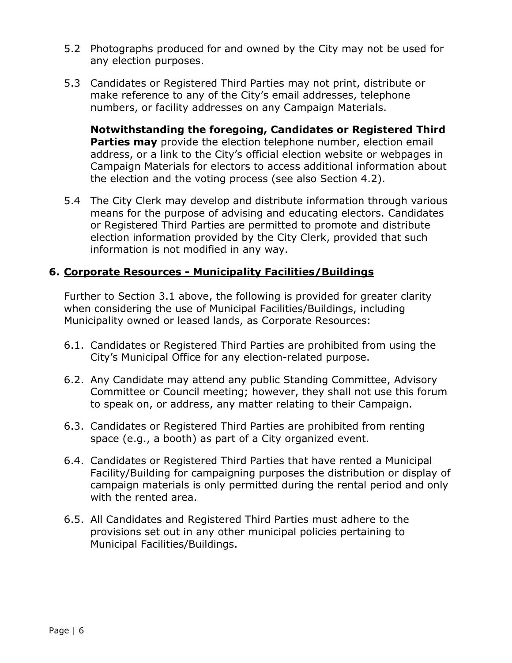- 5.2 Photographs produced for and owned by the City may not be used for any election purposes.
- 5.3 Candidates or Registered Third Parties may not print, distribute or make reference to any of the City's email addresses, telephone numbers, or facility addresses on any Campaign Materials.

 **Notwithstanding the foregoing, Candidates or Registered Third Parties may** provide the election telephone number, election email address, or a link to the City's official election website or webpages in Campaign Materials for electors to access additional information about the election and the voting process (see also Section 4.2).

5.4 The City Clerk may develop and distribute information through various means for the purpose of advising and educating electors. Candidates or Registered Third Parties are permitted to promote and distribute election information provided by the City Clerk, provided that such information is not modified in any way.

## **6. Corporate Resources - Municipality Facilities/Buildings**

Further to Section 3.1 above, the following is provided for greater clarity when considering the use of Municipal Facilities/Buildings, including Municipality owned or leased lands, as Corporate Resources:

- 6.1. Candidates or Registered Third Parties are prohibited from using the City's Municipal Office for any election-related purpose.
- 6.2. Any Candidate may attend any public Standing Committee, Advisory Committee or Council meeting; however, they shall not use this forum to speak on, or address, any matter relating to their Campaign.
- 6.3. Candidates or Registered Third Parties are prohibited from renting space (e.g., a booth) as part of a City organized event.
- 6.4. Candidates or Registered Third Parties that have rented a Municipal Facility/Building for campaigning purposes the distribution or display of campaign materials is only permitted during the rental period and only with the rented area.
- 6.5. All Candidates and Registered Third Parties must adhere to the provisions set out in any other municipal policies pertaining to Municipal Facilities/Buildings.